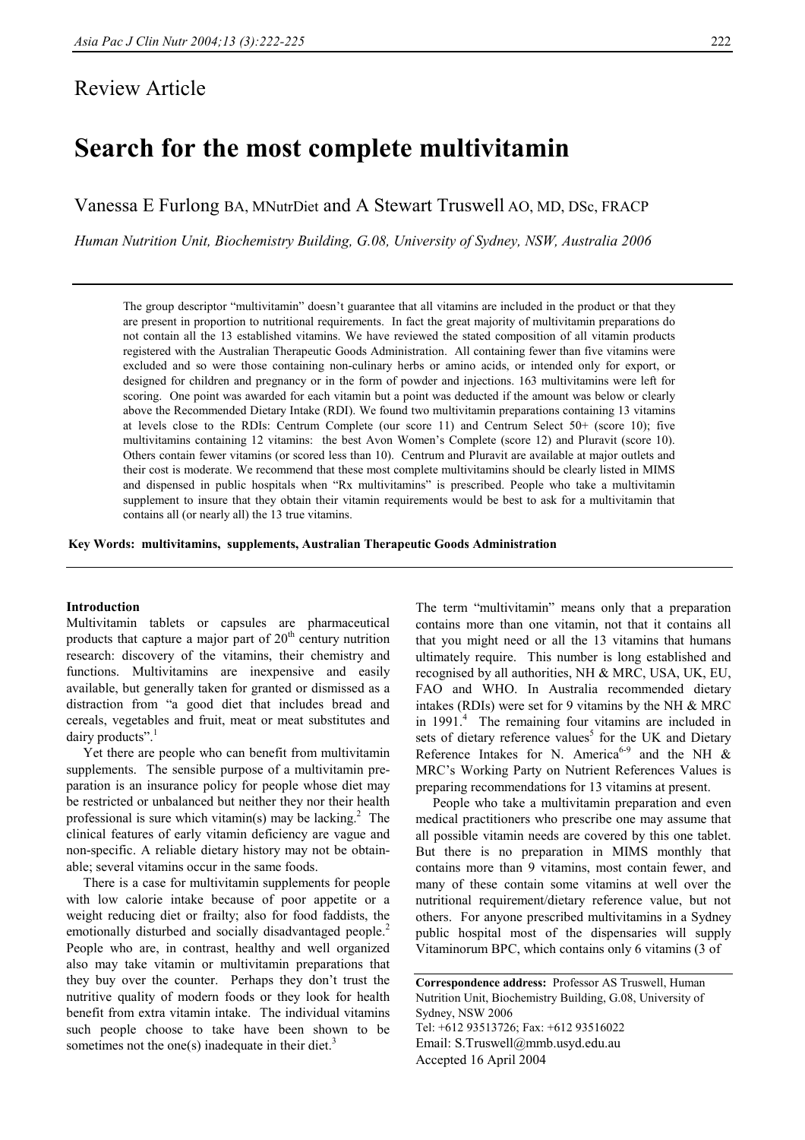# Review Article

# **Search for the most complete multivitamin**

Vanessa E Furlong BA, MNutrDiet and A Stewart Truswell AO, MD, DSc, FRACP

*Human Nutrition Unit, Biochemistry Building, G.08, University of Sydney, NSW, Australia 2006* 

The group descriptor "multivitamin" doesn't guarantee that all vitamins are included in the product or that they are present in proportion to nutritional requirements. In fact the great majority of multivitamin preparations do not contain all the 13 established vitamins. We have reviewed the stated composition of all vitamin products registered with the Australian Therapeutic Goods Administration. All containing fewer than five vitamins were excluded and so were those containing non-culinary herbs or amino acids, or intended only for export, or designed for children and pregnancy or in the form of powder and injections. 163 multivitamins were left for scoring. One point was awarded for each vitamin but a point was deducted if the amount was below or clearly above the Recommended Dietary Intake (RDI). We found two multivitamin preparations containing 13 vitamins at levels close to the RDIs: Centrum Complete (our score 11) and Centrum Select 50+ (score 10); five multivitamins containing 12 vitamins: the best Avon Women's Complete (score 12) and Pluravit (score 10). Others contain fewer vitamins (or scored less than 10). Centrum and Pluravit are available at major outlets and their cost is moderate. We recommend that these most complete multivitamins should be clearly listed in MIMS and dispensed in public hospitals when "Rx multivitamins" is prescribed. People who take a multivitamin supplement to insure that they obtain their vitamin requirements would be best to ask for a multivitamin that contains all (or nearly all) the 13 true vitamins.

**Key Words: multivitamins, supplements, Australian Therapeutic Goods Administration** 

# **Introduction**

Multivitamin tablets or capsules are pharmaceutical products that capture a major part of  $20<sup>th</sup>$  century nutrition research: discovery of the vitamins, their chemistry and functions. Multivitamins are inexpensive and easily available, but generally taken for granted or dismissed as a distraction from "a good diet that includes bread and cereals, vegetables and fruit, meat or meat substitutes and dairy products".<sup>1</sup>

 Yet there are people who can benefit from multivitamin supplements. The sensible purpose of a multivitamin preparation is an insurance policy for people whose diet may be restricted or unbalanced but neither they nor their health professional is sure which vitamin(s) may be lacking.<sup>2</sup> The clinical features of early vitamin deficiency are vague and non-specific. A reliable dietary history may not be obtainable; several vitamins occur in the same foods.

 There is a case for multivitamin supplements for people with low calorie intake because of poor appetite or a weight reducing diet or frailty; also for food faddists, the emotionally disturbed and socially disadvantaged people.<sup>2</sup> People who are, in contrast, healthy and well organized also may take vitamin or multivitamin preparations that they buy over the counter. Perhaps they don't trust the nutritive quality of modern foods or they look for health benefit from extra vitamin intake. The individual vitamins such people choose to take have been shown to be sometimes not the one(s) inadequate in their diet.<sup>3</sup>

The term "multivitamin" means only that a preparation contains more than one vitamin, not that it contains all that you might need or all the 13 vitamins that humans ultimately require. This number is long established and recognised by all authorities, NH & MRC, USA, UK, EU, FAO and WHO. In Australia recommended dietary intakes (RDIs) were set for 9 vitamins by the NH & MRC in 1991.<sup>4</sup> The remaining four vitamins are included in sets of dietary reference values<sup>5</sup> for the UK and Dietary Reference Intakes for N. America<sup>6-9</sup> and the NH  $\&$ MRC's Working Party on Nutrient References Values is preparing recommendations for 13 vitamins at present.

 People who take a multivitamin preparation and even medical practitioners who prescribe one may assume that all possible vitamin needs are covered by this one tablet. But there is no preparation in MIMS monthly that contains more than 9 vitamins, most contain fewer, and many of these contain some vitamins at well over the nutritional requirement/dietary reference value, but not others. For anyone prescribed multivitamins in a Sydney public hospital most of the dispensaries will supply Vitaminorum BPC, which contains only 6 vitamins (3 of

**Correspondence address:** Professor AS Truswell, Human Nutrition Unit, Biochemistry Building, G.08, University of Sydney, NSW 2006 Tel: +612 93513726; Fax: +612 93516022 Email: S.Truswell@mmb.usyd.edu.au Accepted 16 April 2004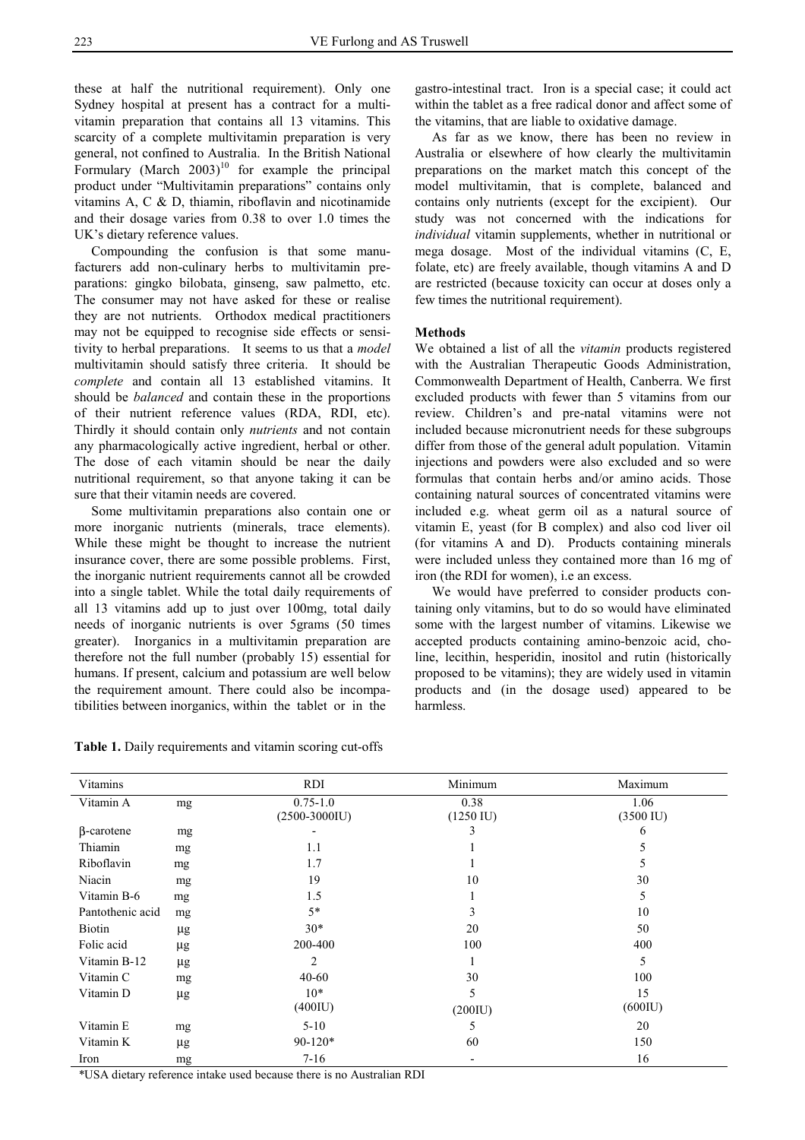these at half the nutritional requirement). Only one Sydney hospital at present has a contract for a multivitamin preparation that contains all 13 vitamins. This scarcity of a complete multivitamin preparation is very general, not confined to Australia. In the British National Formulary (March  $2003$ <sup>10</sup> for example the principal product under "Multivitamin preparations" contains only vitamins A, C & D, thiamin, riboflavin and nicotinamide and their dosage varies from 0.38 to over 1.0 times the UK's dietary reference values.

 Compounding the confusion is that some manufacturers add non-culinary herbs to multivitamin preparations: gingko bilobata, ginseng, saw palmetto, etc. The consumer may not have asked for these or realise they are not nutrients. Orthodox medical practitioners may not be equipped to recognise side effects or sensitivity to herbal preparations. It seems to us that a *model* multivitamin should satisfy three criteria. It should be *complete* and contain all 13 established vitamins. It should be *balanced* and contain these in the proportions of their nutrient reference values (RDA, RDI, etc). Thirdly it should contain only *nutrients* and not contain any pharmacologically active ingredient, herbal or other. The dose of each vitamin should be near the daily nutritional requirement, so that anyone taking it can be sure that their vitamin needs are covered.

 Some multivitamin preparations also contain one or more inorganic nutrients (minerals, trace elements). While these might be thought to increase the nutrient insurance cover, there are some possible problems. First, the inorganic nutrient requirements cannot all be crowded into a single tablet. While the total daily requirements of all 13 vitamins add up to just over 100mg, total daily needs of inorganic nutrients is over 5grams (50 times greater). Inorganics in a multivitamin preparation are therefore not the full number (probably 15) essential for humans. If present, calcium and potassium are well below the requirement amount. There could also be incompatibilities between inorganics, within the tablet or in the

**Table 1.** Daily requirements and vitamin scoring cut-offs

gastro-intestinal tract. Iron is a special case; it could act within the tablet as a free radical donor and affect some of the vitamins, that are liable to oxidative damage.

 As far as we know, there has been no review in Australia or elsewhere of how clearly the multivitamin preparations on the market match this concept of the model multivitamin, that is complete, balanced and contains only nutrients (except for the excipient). Our study was not concerned with the indications for *individual* vitamin supplements, whether in nutritional or mega dosage. Most of the individual vitamins (C, E, folate, etc) are freely available, though vitamins A and D are restricted (because toxicity can occur at doses only a few times the nutritional requirement).

# **Methods**

We obtained a list of all the *vitamin* products registered with the Australian Therapeutic Goods Administration, Commonwealth Department of Health, Canberra. We first excluded products with fewer than 5 vitamins from our review. Children's and pre-natal vitamins were not included because micronutrient needs for these subgroups differ from those of the general adult population. Vitamin injections and powders were also excluded and so were formulas that contain herbs and/or amino acids. Those containing natural sources of concentrated vitamins were included e.g. wheat germ oil as a natural source of vitamin E, yeast (for B complex) and also cod liver oil (for vitamins A and D). Products containing minerals were included unless they contained more than 16 mg of iron (the RDI for women), i.e an excess.

 We would have preferred to consider products containing only vitamins, but to do so would have eliminated some with the largest number of vitamins. Likewise we accepted products containing amino-benzoic acid, choline, lecithin, hesperidin, inositol and rutin (historically proposed to be vitamins); they are widely used in vitamin products and (in the dosage used) appeared to be harmless.

| Vitamins          |         | <b>RDI</b>                    | Minimum                     | Maximum                     |
|-------------------|---------|-------------------------------|-----------------------------|-----------------------------|
| Vitamin A         | mg      | $0.75 - 1.0$<br>$(2500-3000)$ | 0.38<br>$(1250 \text{ IU})$ | 1.06<br>$(3500 \text{ IU})$ |
| $\beta$ -carotene | mg      |                               | 3                           | 6                           |
| Thiamin           | mg      | 1.1                           |                             | 5                           |
| Riboflavin        | mg      | 1.7                           |                             | 5                           |
| Niacin            | mg      | 19                            | 10                          | 30                          |
| Vitamin B-6       | mg      | 1.5                           |                             | 5                           |
| Pantothenic acid  | mg      | $5*$                          | 3                           | 10                          |
| Biotin            | μg      | $30*$                         | 20                          | 50                          |
| Folic acid        | $\mu$ g | 200-400                       | 100                         | 400                         |
| Vitamin B-12      | μg      | 2                             |                             | 5                           |
| Vitamin C         | mg      | $40 - 60$                     | 30                          | 100                         |
| Vitamin D         | $\mu$ g | $10*$<br>$(400$ IU)           | 5<br>(200IU)                | 15<br>(600IU)               |
| Vitamin E         | mg      | $5 - 10$                      | 5                           | 20                          |
| Vitamin K         | $\mu$ g | $90 - 120*$                   | 60                          | 150                         |
| Iron              | mg      | 7-16                          | $\overline{\phantom{0}}$    | 16                          |

\*USA dietary reference intake used because there is no Australian RDI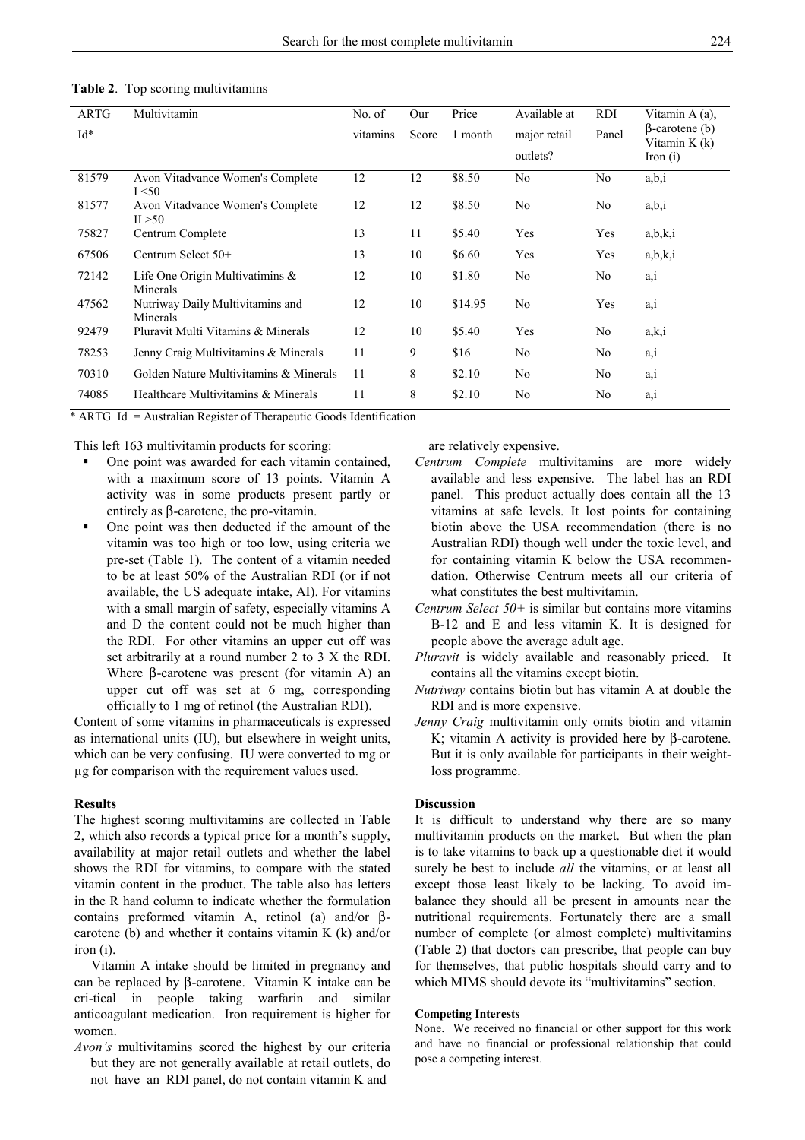| <b>ARTG</b><br>$Id^*$ | Multivitamin                                   | No. of<br>vitamins | Our<br>Score | Price<br>1 month | Available at<br>major retail<br>outlets? | RDI<br>Panel | Vitamin A (a),<br>$\beta$ -carotene (b)<br>Vitamin $K(k)$<br>Iron $(i)$ |
|-----------------------|------------------------------------------------|--------------------|--------------|------------------|------------------------------------------|--------------|-------------------------------------------------------------------------|
| 81579                 | Avon Vitadvance Women's Complete<br>I < 50     | 12                 | 12           | \$8.50           | No                                       | No           | a,b,i                                                                   |
| 81577                 | Avon Vitadvance Women's Complete<br>II > 50    | 12                 | 12           | \$8.50           | No                                       | No           | a,b,i                                                                   |
| 75827                 | Centrum Complete                               | 13                 | 11           | \$5.40           | Yes                                      | Yes          | a,b,k,i                                                                 |
| 67506                 | Centrum Select $50+$                           | 13                 | 10           | \$6.60           | Yes                                      | Yes          | a,b,k,i                                                                 |
| 72142                 | Life One Origin Multivatimins $\&$<br>Minerals | 12                 | 10           | \$1.80           | No                                       | No           | a, i                                                                    |
| 47562                 | Nutriway Daily Multivitamins and<br>Minerals   | 12                 | 10           | \$14.95          | No                                       | Yes          | a, i                                                                    |
| 92479                 | Pluravit Multi Vitamins & Minerals             | 12                 | 10           | \$5.40           | Yes                                      | No           | a, k, i                                                                 |
| 78253                 | Jenny Craig Multivitamins & Minerals           | 11                 | 9            | \$16             | No.                                      | No.          | a, i                                                                    |
| 70310                 | Golden Nature Multivitamins & Minerals         | 11                 | 8            | \$2.10           | No                                       | No           | a, i                                                                    |
| 74085                 | Healthcare Multivitamins & Minerals            | 11                 | 8            | \$2.10           | No                                       | No           | a, i                                                                    |

#### **Table 2**. Top scoring multivitamins

\* ARTG Id = Australian Register of Therapeutic Goods Identification

This left 163 multivitamin products for scoring:

- One point was awarded for each vitamin contained, with a maximum score of 13 points. Vitamin A activity was in some products present partly or entirely as β-carotene, the pro-vitamin.
- One point was then deducted if the amount of the vitamin was too high or too low, using criteria we pre-set (Table 1). The content of a vitamin needed to be at least 50% of the Australian RDI (or if not available, the US adequate intake, AI). For vitamins with a small margin of safety, especially vitamins A and D the content could not be much higher than the RDI. For other vitamins an upper cut off was set arbitrarily at a round number 2 to 3 X the RDI. Where β-carotene was present (for vitamin A) an upper cut off was set at 6 mg, corresponding officially to 1 mg of retinol (the Australian RDI).

Content of some vitamins in pharmaceuticals is expressed as international units (IU), but elsewhere in weight units, which can be very confusing. IU were converted to mg or µg for comparison with the requirement values used.

#### **Results**

The highest scoring multivitamins are collected in Table 2, which also records a typical price for a month's supply, availability at major retail outlets and whether the label shows the RDI for vitamins, to compare with the stated vitamin content in the product. The table also has letters in the R hand column to indicate whether the formulation contains preformed vitamin A, retinol (a) and/or βcarotene (b) and whether it contains vitamin K (k) and/or iron (i).

 Vitamin A intake should be limited in pregnancy and can be replaced by β-carotene. Vitamin K intake can be cri-tical in people taking warfarin and similar anticoagulant medication. Iron requirement is higher for women.

*Avon's* multivitamins scored the highest by our criteria but they are not generally available at retail outlets, do not have an RDI panel, do not contain vitamin K and

are relatively expensive.

- *Centrum Complete* multivitamins are more widely available and less expensive. The label has an RDI panel. This product actually does contain all the 13 vitamins at safe levels. It lost points for containing biotin above the USA recommendation (there is no Australian RDI) though well under the toxic level, and for containing vitamin K below the USA recommendation. Otherwise Centrum meets all our criteria of what constitutes the best multivitamin.
- *Centrum Select 50+* is similar but contains more vitamins B-12 and E and less vitamin K. It is designed for people above the average adult age.
- *Pluravit* is widely available and reasonably priced. It contains all the vitamins except biotin.
- *Nutriway* contains biotin but has vitamin A at double the RDI and is more expensive.
- *Jenny Craig* multivitamin only omits biotin and vitamin K; vitamin A activity is provided here by β-carotene. But it is only available for participants in their weightloss programme.

# **Discussion**

It is difficult to understand why there are so many multivitamin products on the market. But when the plan is to take vitamins to back up a questionable diet it would surely be best to include *all* the vitamins, or at least all except those least likely to be lacking. To avoid imbalance they should all be present in amounts near the nutritional requirements. Fortunately there are a small number of complete (or almost complete) multivitamins (Table 2) that doctors can prescribe, that people can buy for themselves, that public hospitals should carry and to which MIMS should devote its "multivitamins" section.

# **Competing Interests**

None. We received no financial or other support for this work and have no financial or professional relationship that could pose a competing interest.